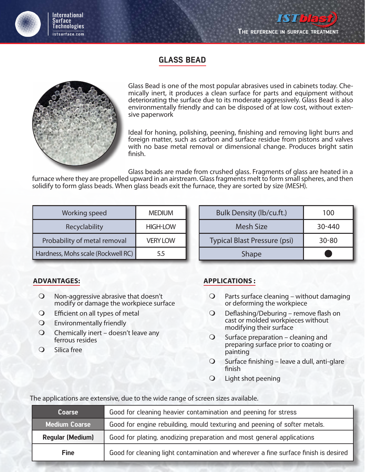

**ISThest** 

### GLASS BEAD



Glass Bead is one of the most popular abrasives used in cabinets today. Chemically inert, it produces a clean surface for parts and equipment without deteriorating the surface due to its moderate aggressively. Glass Bead is also environmentally friendly and can be disposed of at low cost, without extensive paperwork

Ideal for honing, polishing, peening, finishing and removing light burrs and foreign matter, such as carbon and surface residue from pistons and valves with no base metal removal or dimensional change. Produces bright satin finish.

Glass beads are made from crushed glass. Fragments of glass are heated in a

furnace where they are propelled upward in an airstream. Glass fragments melt to form small spheres, and then solidify to form glass beads. When glass beads exit the furnace, they are sorted by size (MESH).

| Working speed                      | <b>MEDIUM</b>   |
|------------------------------------|-----------------|
| Recyclability                      | <b>HIGH-LOW</b> |
| Probability of metal removal       | <b>VERY LOW</b> |
| Hardness, Mohs scale (Rockwell RC) | 5.5             |

| Bulk Density (lb/cu.ft.)     | 100        |
|------------------------------|------------|
| <b>Mesh Size</b>             | $30 - 440$ |
| Typical Blast Pressure (psi) | $30 - 80$  |
| Shape                        |            |

#### **ADVANTAGES:**

- Non-aggressive abrasive that doesn't modify or damage the workpiece surface
- Efficient on all types of metal
- Environmentally friendly
- $\bigcirc$  Chemically inert doesn't leave any ferrous resides
- Q Silica free

#### **APPLICATIONS :**

- $Q$  Parts surface cleaning without damaging or deforming the workpiece
- Deflashing/Deburing remove flash on cast or molded workpieces without modifying their surface
- $\bigcirc$  Surface preparation cleaning and preparing surface prior to coating or painting
- $\bigcirc$  Surface finishing leave a dull, anti-glare finish
- Light shot peening

The applications are extensive, due to the wide range of screen sizes available.

| <b>Coarse</b>           | Good for cleaning heavier contamination and peening for stress                      |  |
|-------------------------|-------------------------------------------------------------------------------------|--|
| <b>Medium Coarse</b>    | Good for engine rebuilding, mould texturing and peening of softer metals.           |  |
| <b>Regular (Medium)</b> | Good for plating, anodizing preparation and most general applications               |  |
| <b>Fine</b>             | Good for cleaning light contamination and wherever a fine surface finish is desired |  |